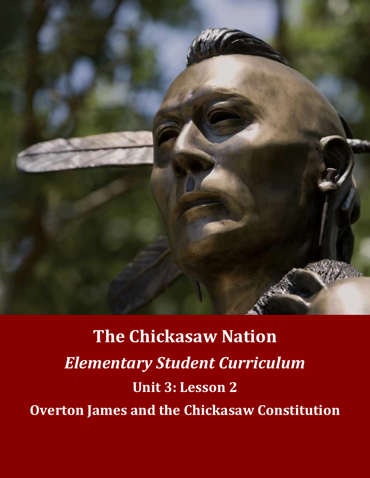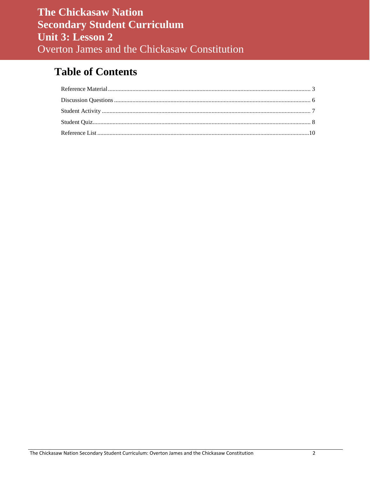# **Table of Contents**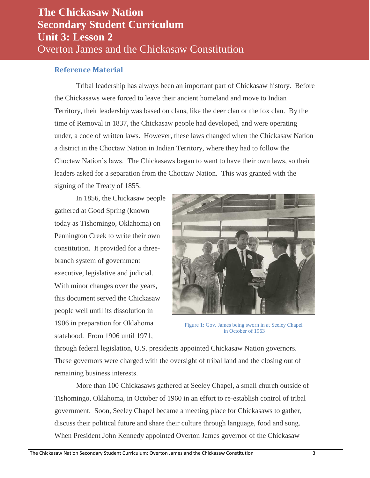### <span id="page-2-0"></span>**Reference Material**

Tribal leadership has always been an important part of Chickasaw history. Before the Chickasaws were forced to leave their ancient homeland and move to Indian Territory, their leadership was based on clans, like the deer clan or the fox clan. By the time of Removal in 1837, the Chickasaw people had developed, and were operating under, a code of written laws. However, these laws changed when the Chickasaw Nation a district in the Choctaw Nation in Indian Territory, where they had to follow the Choctaw Nation's laws. The Chickasaws began to want to have their own laws, so their leaders asked for a separation from the Choctaw Nation. This was granted with the signing of the Treaty of 1855.

In 1856, the Chickasaw people gathered at Good Spring (known today as Tishomingo, Oklahoma) on Pennington Creek to write their own constitution. It provided for a threebranch system of government executive, legislative and judicial. With minor changes over the years, this document served the Chickasaw people well until its dissolution in 1906 in preparation for Oklahoma statehood. From 1906 until 1971,



Figure 1: Gov. James being sworn in at Seeley Chapel in October of 1963

through federal legislation, U.S. presidents appointed Chickasaw Nation governors. These governors were charged with the oversight of tribal land and the closing out of remaining business interests.

More than 100 Chickasaws gathered at Seeley Chapel, a small church outside of Tishomingo, Oklahoma, in October of 1960 in an effort to re-establish control of tribal government. Soon, Seeley Chapel became a meeting place for Chickasaws to gather, discuss their political future and share their culture through language, food and song. When President John Kennedy appointed Overton James governor of the Chickasaw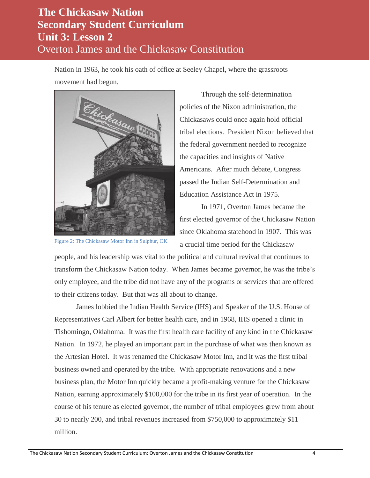Nation in 1963, he took his oath of office at Seeley Chapel, where the grassroots movement had begun.



Figure 2: The Chickasaw Motor Inn in Sulphur, OK

Through the self-determination policies of the Nixon administration, the Chickasaws could once again hold official tribal elections. President Nixon believed that the federal government needed to recognize the capacities and insights of Native Americans. After much debate, Congress passed the Indian Self-Determination and Education Assistance Act in 1975.

In 1971, Overton James became the first elected governor of the Chickasaw Nation since Oklahoma statehood in 1907. This was a crucial time period for the Chickasaw

people, and his leadership was vital to the political and cultural revival that continues to transform the Chickasaw Nation today. When James became governor, he was the tribe's only employee, and the tribe did not have any of the programs or services that are offered to their citizens today. But that was all about to change.

James lobbied the Indian Health Service (IHS) and Speaker of the U.S. House of Representatives Carl Albert for better health care, and in 1968, IHS opened a clinic in Tishomingo, Oklahoma. It was the first health care facility of any kind in the Chickasaw Nation. In 1972, he played an important part in the purchase of what was then known as the Artesian Hotel. It was renamed the Chickasaw Motor Inn, and it was the first tribal business owned and operated by the tribe. With appropriate renovations and a new business plan, the Motor Inn quickly became a profit-making venture for the Chickasaw Nation, earning approximately \$100,000 for the tribe in its first year of operation. In the course of his tenure as elected governor, the number of tribal employees grew from about 30 to nearly 200, and tribal revenues increased from \$750,000 to approximately \$11 million.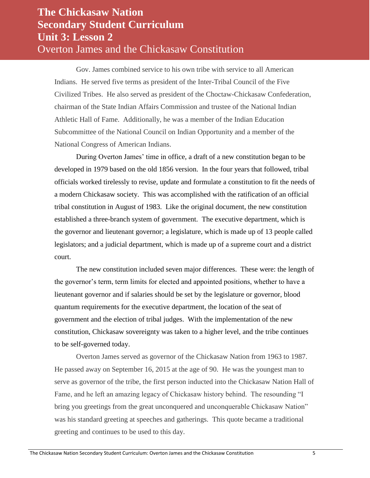Gov. James combined service to his own tribe with service to all American Indians. He served five terms as president of the Inter-Tribal Council of the Five Civilized Tribes. He also served as president of the Choctaw-Chickasaw Confederation, chairman of the State Indian Affairs Commission and trustee of the National Indian Athletic Hall of Fame. Additionally, he was a member of the Indian Education Subcommittee of the National Council on Indian Opportunity and a member of the National Congress of American Indians.

During Overton James' time in office, a draft of a new constitution began to be developed in 1979 based on the old 1856 version. In the four years that followed, tribal officials worked tirelessly to revise, update and formulate a constitution to fit the needs of a modern Chickasaw society. This was accomplished with the ratification of an official tribal constitution in August of 1983. Like the original document, the new constitution established a three-branch system of government. The executive department, which is the governor and lieutenant governor; a legislature, which is made up of 13 people called legislators; and a judicial department, which is made up of a supreme court and a district court.

The new constitution included seven major differences. These were: the length of the governor's term, term limits for elected and appointed positions, whether to have a lieutenant governor and if salaries should be set by the legislature or governor, blood quantum requirements for the executive department, the location of the seat of government and the election of tribal judges. With the implementation of the new constitution, Chickasaw sovereignty was taken to a higher level, and the tribe continues to be self-governed today.

Overton James served as governor of the Chickasaw Nation from 1963 to 1987. He passed away on September 16, 2015 at the age of 90. He was the youngest man to serve as governor of the tribe, the first person inducted into the Chickasaw Nation Hall of Fame, and he left an amazing legacy of Chickasaw history behind. The resounding "I bring you greetings from the great unconquered and unconquerable Chickasaw Nation" was his standard greeting at speeches and gatherings. This quote became a traditional greeting and continues to be used to this day.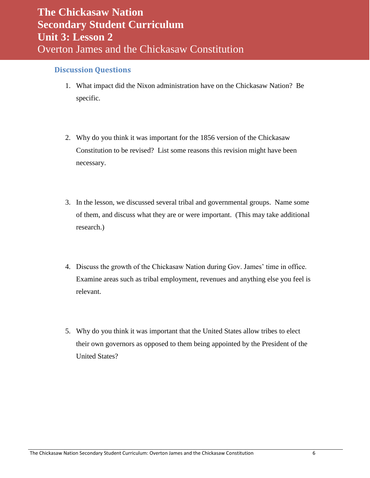#### <span id="page-5-0"></span>**Discussion Questions**

- 1. What impact did the Nixon administration have on the Chickasaw Nation? Be specific.
- 2. Why do you think it was important for the 1856 version of the Chickasaw Constitution to be revised? List some reasons this revision might have been necessary.
- 3. In the lesson, we discussed several tribal and governmental groups. Name some of them, and discuss what they are or were important. (This may take additional research.)
- 4. Discuss the growth of the Chickasaw Nation during Gov. James' time in office. Examine areas such as tribal employment, revenues and anything else you feel is relevant.
- 5. Why do you think it was important that the United States allow tribes to elect their own governors as opposed to them being appointed by the President of the United States?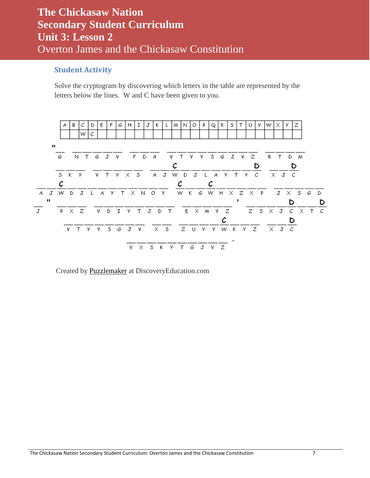### <span id="page-6-0"></span>**Student Activity**

Solve the cryptogram by discovering which letters in the table are represented by the letters below the lines. W and C have been given to you.



Created by [Puzzlemaker](http://puzzlemaker.discoveryeducation.com/) at DiscoveryEducation.com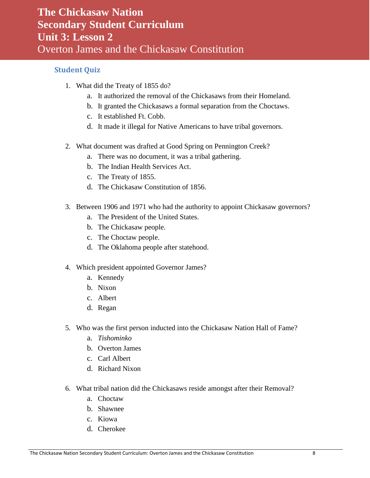### <span id="page-7-0"></span>**Student Quiz**

- 1. What did the Treaty of 1855 do?
	- a. It authorized the removal of the Chickasaws from their Homeland.
	- b. It granted the Chickasaws a formal separation from the Choctaws.
	- c. It established Ft. Cobb.
	- d. It made it illegal for Native Americans to have tribal governors.
- 2. What document was drafted at Good Spring on Pennington Creek?
	- a. There was no document, it was a tribal gathering.
	- b. The Indian Health Services Act.
	- c. The Treaty of 1855.
	- d. The Chickasaw Constitution of 1856.
- 3. Between 1906 and 1971 who had the authority to appoint Chickasaw governors?
	- a. The President of the United States.
	- b. The Chickasaw people.
	- c. The Choctaw people.
	- d. The Oklahoma people after statehood.
- 4. Which president appointed Governor James?
	- a. Kennedy
	- b. Nixon
	- c. Albert
	- d. Regan
- 5. Who was the first person inducted into the Chickasaw Nation Hall of Fame?
	- a. *Tishominko*
	- b. Overton James
	- c. Carl Albert
	- d. Richard Nixon
- 6. What tribal nation did the Chickasaws reside amongst after their Removal?
	- a. Choctaw
	- b. Shawnee
	- c. Kiowa
	- d. Cherokee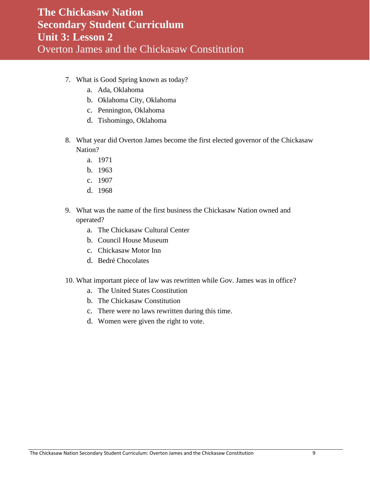- 7. What is Good Spring known as today?
	- a. Ada, Oklahoma
	- b. Oklahoma City, Oklahoma
	- c. Pennington, Oklahoma
	- d. Tishomingo, Oklahoma
- 8. What year did Overton James become the first elected governor of the Chickasaw Nation?
	- a. 1971
	- b. 1963
	- c. 1907
	- d. 1968
- 9. What was the name of the first business the Chickasaw Nation owned and operated?
	- a. The Chickasaw Cultural Center
	- b. Council House Museum
	- c. Chickasaw Motor Inn
	- d. Bedré Chocolates
- 10. What important piece of law was rewritten while Gov. James was in office?
	- a. The United States Constitution
	- b. The Chickasaw Constitution
	- c. There were no laws rewritten during this time.
	- d. Women were given the right to vote.